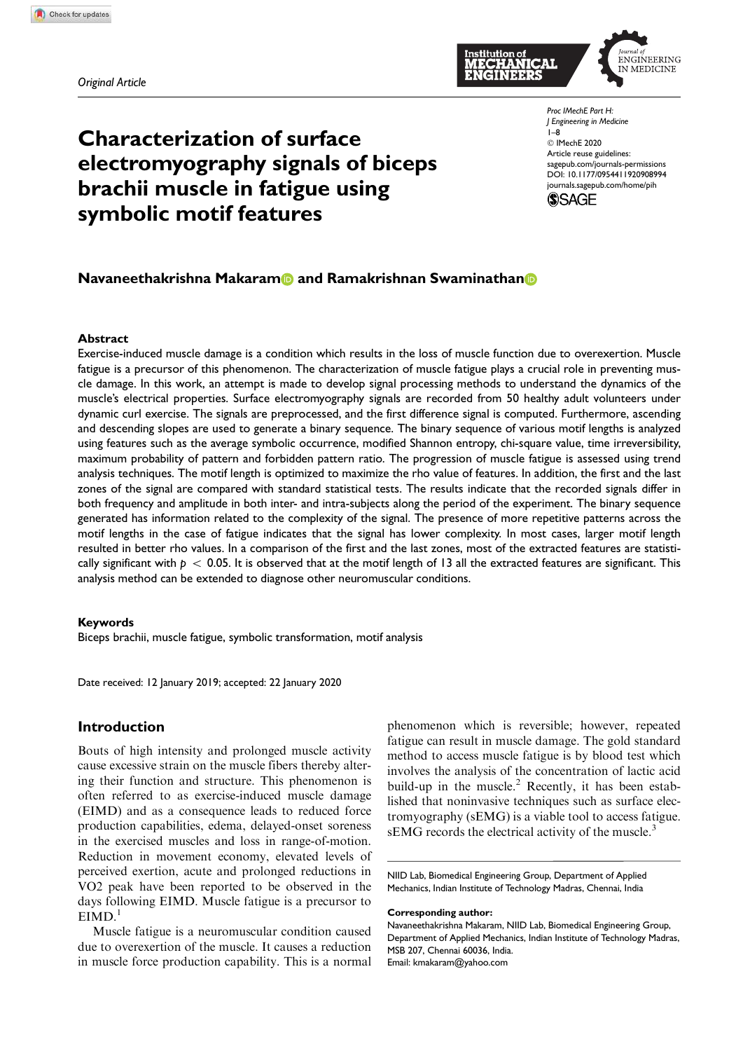Original Article



# Characterization of surface electromyography signals of biceps brachii muscle in fatigue using symbolic motif features

Proc IMechE Part H: J Engineering in Medicine 1–8 C IMechE 2020 Article reuse guidelines: sagepub.com/journals-permissions DOI: 10.1177/0954411920908994 journals.sagepub.com/home/pih



# Navaneethakrishna Makaram and Ramakrishnan Swaminathan a

#### Abstract

Exercise-induced muscle damage is a condition which results in the loss of muscle function due to overexertion. Muscle fatigue is a precursor of this phenomenon. The characterization of muscle fatigue plays a crucial role in preventing muscle damage. In this work, an attempt is made to develop signal processing methods to understand the dynamics of the muscle's electrical properties. Surface electromyography signals are recorded from 50 healthy adult volunteers under dynamic curl exercise. The signals are preprocessed, and the first difference signal is computed. Furthermore, ascending and descending slopes are used to generate a binary sequence. The binary sequence of various motif lengths is analyzed using features such as the average symbolic occurrence, modified Shannon entropy, chi-square value, time irreversibility, maximum probability of pattern and forbidden pattern ratio. The progression of muscle fatigue is assessed using trend analysis techniques. The motif length is optimized to maximize the rho value of features. In addition, the first and the last zones of the signal are compared with standard statistical tests. The results indicate that the recorded signals differ in both frequency and amplitude in both inter- and intra-subjects along the period of the experiment. The binary sequence generated has information related to the complexity of the signal. The presence of more repetitive patterns across the motif lengths in the case of fatigue indicates that the signal has lower complexity. In most cases, larger motif length resulted in better rho values. In a comparison of the first and the last zones, most of the extracted features are statistically significant with  $p < 0.05$ . It is observed that at the motif length of 13 all the extracted features are significant. This analysis method can be extended to diagnose other neuromuscular conditions.

#### Keywords

Biceps brachii, muscle fatigue, symbolic transformation, motif analysis

Date received: 12 January 2019; accepted: 22 January 2020

# Introduction

Bouts of high intensity and prolonged muscle activity cause excessive strain on the muscle fibers thereby altering their function and structure. This phenomenon is often referred to as exercise-induced muscle damage (EIMD) and as a consequence leads to reduced force production capabilities, edema, delayed-onset soreness in the exercised muscles and loss in range-of-motion. Reduction in movement economy, elevated levels of perceived exertion, acute and prolonged reductions in VO2 peak have been reported to be observed in the days following EIMD. Muscle fatigue is a precursor to  $EIMD.<sup>1</sup>$ 

Muscle fatigue is a neuromuscular condition caused due to overexertion of the muscle. It causes a reduction in muscle force production capability. This is a normal

phenomenon which is reversible; however, repeated fatigue can result in muscle damage. The gold standard method to access muscle fatigue is by blood test which involves the analysis of the concentration of lactic acid build-up in the muscle.<sup>2</sup> Recently, it has been established that noninvasive techniques such as surface electromyography (sEMG) is a viable tool to access fatigue. sEMG records the electrical activity of the muscle.<sup>3</sup>

NIID Lab, Biomedical Engineering Group, Department of Applied Mechanics, Indian Institute of Technology Madras, Chennai, India

#### Corresponding author:

Navaneethakrishna Makaram, NIID Lab, Biomedical Engineering Group, Department of Applied Mechanics, Indian Institute of Technology Madras, MSB 207, Chennai 60036, India. Email: kmakaram@yahoo.com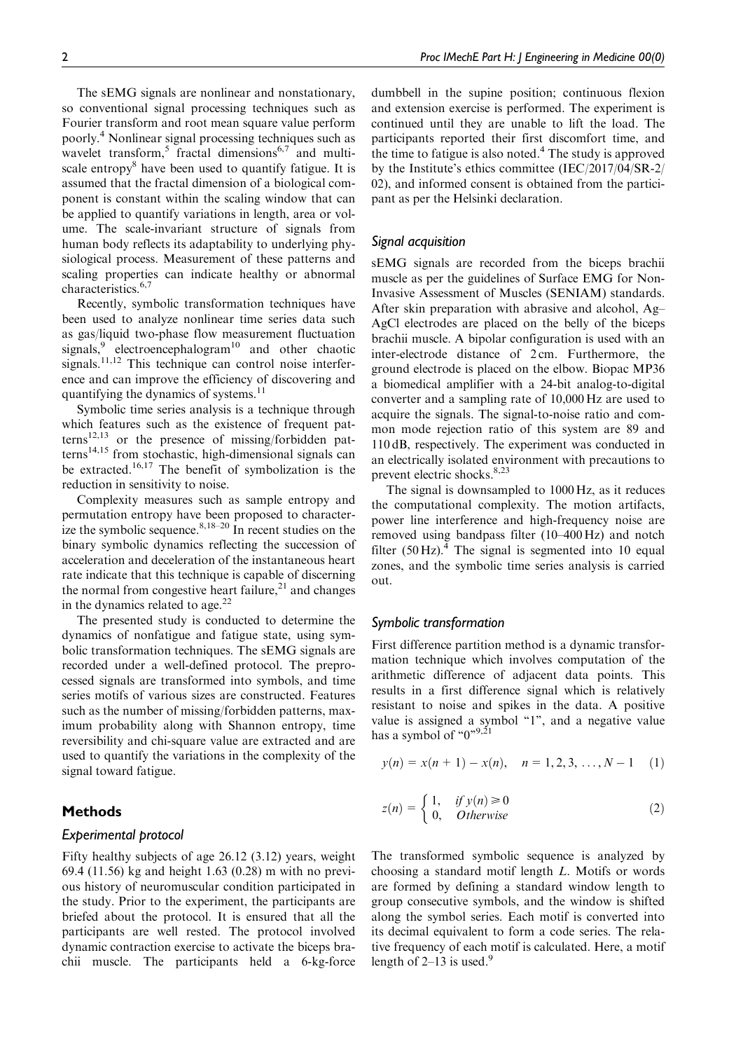The sEMG signals are nonlinear and nonstationary, so conventional signal processing techniques such as Fourier transform and root mean square value perform poorly.<sup>4</sup> Nonlinear signal processing techniques such as wavelet transform,<sup>5</sup> fractal dimensions<sup>6,7</sup> and multiscale entropy<sup>8</sup> have been used to quantify fatigue. It is assumed that the fractal dimension of a biological component is constant within the scaling window that can be applied to quantify variations in length, area or volume. The scale-invariant structure of signals from human body reflects its adaptability to underlying physiological process. Measurement of these patterns and scaling properties can indicate healthy or abnormal characteristics.<sup>6,7</sup>

Recently, symbolic transformation techniques have been used to analyze nonlinear time series data such as gas/liquid two-phase flow measurement fluctuation signals,<sup>9</sup> electroencephalogram<sup>10</sup> and other chaotic signals.<sup>11,12</sup> This technique can control noise interference and can improve the efficiency of discovering and quantifying the dynamics of systems.<sup>11</sup>

Symbolic time series analysis is a technique through which features such as the existence of frequent pat- $\text{terms}^{12,13}$  or the presence of missing/forbidden pat $terns<sup>14,15</sup>$  from stochastic, high-dimensional signals can be extracted.<sup>16,17</sup> The benefit of symbolization is the reduction in sensitivity to noise.

Complexity measures such as sample entropy and permutation entropy have been proposed to characterize the symbolic sequence. $8,18-20$  In recent studies on the binary symbolic dynamics reflecting the succession of acceleration and deceleration of the instantaneous heart rate indicate that this technique is capable of discerning the normal from congestive heart failure,<sup>21</sup> and changes in the dynamics related to age.<sup>22</sup>

The presented study is conducted to determine the dynamics of nonfatigue and fatigue state, using symbolic transformation techniques. The sEMG signals are recorded under a well-defined protocol. The preprocessed signals are transformed into symbols, and time series motifs of various sizes are constructed. Features such as the number of missing/forbidden patterns, maximum probability along with Shannon entropy, time reversibility and chi-square value are extracted and are used to quantify the variations in the complexity of the signal toward fatigue.

## Methods

## Experimental protocol

Fifty healthy subjects of age 26.12 (3.12) years, weight 69.4 (11.56) kg and height 1.63 (0.28) m with no previous history of neuromuscular condition participated in the study. Prior to the experiment, the participants are briefed about the protocol. It is ensured that all the participants are well rested. The protocol involved dynamic contraction exercise to activate the biceps brachii muscle. The participants held a 6-kg-force

dumbbell in the supine position; continuous flexion and extension exercise is performed. The experiment is continued until they are unable to lift the load. The participants reported their first discomfort time, and the time to fatigue is also noted.<sup>4</sup> The study is approved by the Institute's ethics committee (IEC/2017/04/SR-2/ 02), and informed consent is obtained from the participant as per the Helsinki declaration.

## Signal acquisition

sEMG signals are recorded from the biceps brachii muscle as per the guidelines of Surface EMG for Non-Invasive Assessment of Muscles (SENIAM) standards. After skin preparation with abrasive and alcohol, Ag– AgCl electrodes are placed on the belly of the biceps brachii muscle. A bipolar configuration is used with an inter-electrode distance of 2 cm. Furthermore, the ground electrode is placed on the elbow. Biopac MP36 a biomedical amplifier with a 24-bit analog-to-digital converter and a sampling rate of 10,000 Hz are used to acquire the signals. The signal-to-noise ratio and common mode rejection ratio of this system are 89 and 110 dB, respectively. The experiment was conducted in an electrically isolated environment with precautions to prevent electric shocks.<sup>8,23</sup>

The signal is downsampled to 1000 Hz, as it reduces the computational complexity. The motion artifacts, power line interference and high-frequency noise are removed using bandpass filter (10–400 Hz) and notch filter  $(50 \text{ Hz})$ .<sup>4</sup> The signal is segmented into 10 equal zones, and the symbolic time series analysis is carried out.

#### Symbolic transformation

First difference partition method is a dynamic transformation technique which involves computation of the arithmetic difference of adjacent data points. This results in a first difference signal which is relatively resistant to noise and spikes in the data. A positive value is assigned a symbol "1", and a negative value has a symbol of " $0$ ",  $9,21$ 

$$
y(n) = x(n + 1) - x(n), \quad n = 1, 2, 3, \dots, N - 1 \quad (1)
$$

$$
z(n) = \begin{cases} 1, & if y(n) \ge 0 \\ 0, & Otherwise \end{cases}
$$
 (2)

The transformed symbolic sequence is analyzed by choosing a standard motif length L. Motifs or words are formed by defining a standard window length to group consecutive symbols, and the window is shifted along the symbol series. Each motif is converted into its decimal equivalent to form a code series. The relative frequency of each motif is calculated. Here, a motif length of  $2-13$  is used.<sup>9</sup>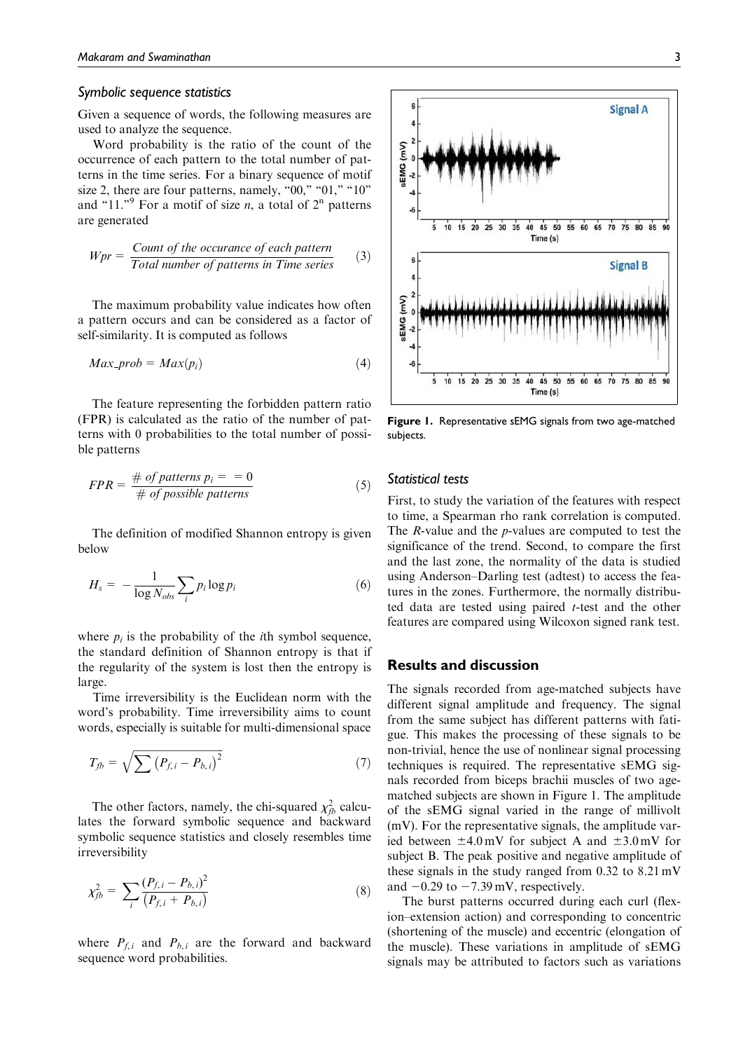## Symbolic sequence statistics

Given a sequence of words, the following measures are used to analyze the sequence.

Word probability is the ratio of the count of the occurrence of each pattern to the total number of patterns in the time series. For a binary sequence of motif size 2, there are four patterns, namely, "00," "01," "10" and "11." For a motif of size *n*, a total of  $2<sup>n</sup>$  patterns are generated

$$
Wpr = \frac{Count \ of \ the \ occurrence \ of \ each \ pattern}{Total \ number \ of \ patterns \ in \ Time \ series} \tag{3}
$$

The maximum probability value indicates how often a pattern occurs and can be considered as a factor of self-similarity. It is computed as follows

$$
Max\_prob = Max(p_i) \tag{4}
$$

The feature representing the forbidden pattern ratio (FPR) is calculated as the ratio of the number of patterns with 0 probabilities to the total number of possible patterns

$$
FPR = \frac{\# \ of \ patterns}{\# \ of \ possible \ patterns}
$$
 (5)

The definition of modified Shannon entropy is given below

$$
H_s = -\frac{1}{\log N_{obs}} \sum_{i} p_i \log p_i \tag{6}
$$

where  $p_i$  is the probability of the *i*th symbol sequence, the standard definition of Shannon entropy is that if the regularity of the system is lost then the entropy is large.

Time irreversibility is the Euclidean norm with the word's probability. Time irreversibility aims to count words, especially is suitable for multi-dimensional space

$$
T_{fb} = \sqrt{\sum (P_{f,i} - P_{b,i})^2} \tag{7}
$$

The other factors, namely, the chi-squared  $\chi^2_{fb}$  calculates the forward symbolic sequence and backward symbolic sequence statistics and closely resembles time irreversibility

$$
\chi_{fb}^2 = \sum_i \frac{(P_{f,i} - P_{b,i})^2}{(P_{f,i} + P_{b,i})}
$$
(8)

where  $P_{f,i}$  and  $P_{b,i}$  are the forward and backward sequence word probabilities.



Figure 1. Representative sEMG signals from two age-matched subjects.

## Statistical tests

First, to study the variation of the features with respect to time, a Spearman rho rank correlation is computed. The R-value and the p-values are computed to test the significance of the trend. Second, to compare the first and the last zone, the normality of the data is studied using Anderson–Darling test (adtest) to access the features in the zones. Furthermore, the normally distributed data are tested using paired t-test and the other features are compared using Wilcoxon signed rank test.

## Results and discussion

The signals recorded from age-matched subjects have different signal amplitude and frequency. The signal from the same subject has different patterns with fatigue. This makes the processing of these signals to be non-trivial, hence the use of nonlinear signal processing techniques is required. The representative sEMG signals recorded from biceps brachii muscles of two agematched subjects are shown in Figure 1. The amplitude of the sEMG signal varied in the range of millivolt (mV). For the representative signals, the amplitude varied between  $\pm 4.0$  mV for subject A and  $\pm 3.0$  mV for subject B. The peak positive and negative amplitude of these signals in the study ranged from 0.32 to 8.21 mV and  $-0.29$  to  $-7.39$  mV, respectively.

The burst patterns occurred during each curl (flexion–extension action) and corresponding to concentric (shortening of the muscle) and eccentric (elongation of the muscle). These variations in amplitude of sEMG signals may be attributed to factors such as variations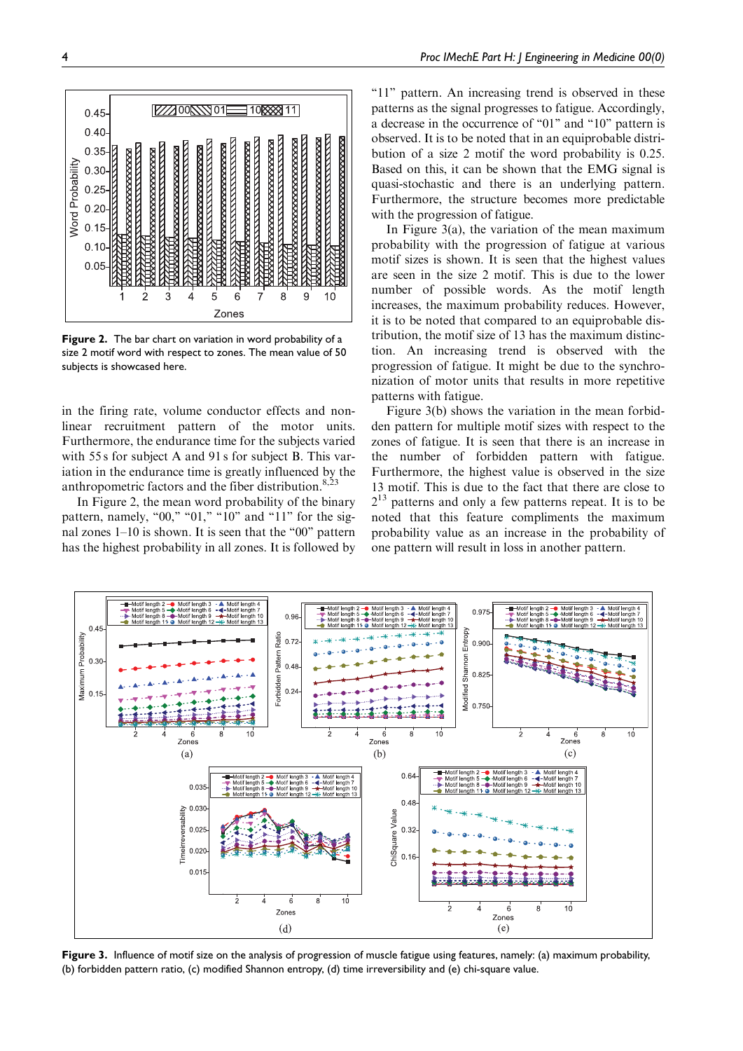

Figure 2. The bar chart on variation in word probability of a size 2 motif word with respect to zones. The mean value of 50 subjects is showcased here.

in the firing rate, volume conductor effects and nonlinear recruitment pattern of the motor units. Furthermore, the endurance time for the subjects varied with 55 s for subject A and 91 s for subject B. This variation in the endurance time is greatly influenced by the anthropometric factors and the fiber distribution.<sup>8,23</sup>

In Figure 2, the mean word probability of the binary pattern, namely, "00," "01," "10" and "11" for the signal zones  $1-10$  is shown. It is seen that the "00" pattern has the highest probability in all zones. It is followed by "11" pattern. An increasing trend is observed in these patterns as the signal progresses to fatigue. Accordingly, a decrease in the occurrence of "01" and "10" pattern is observed. It is to be noted that in an equiprobable distribution of a size 2 motif the word probability is 0.25. Based on this, it can be shown that the EMG signal is quasi-stochastic and there is an underlying pattern. Furthermore, the structure becomes more predictable with the progression of fatigue.

In Figure 3(a), the variation of the mean maximum probability with the progression of fatigue at various motif sizes is shown. It is seen that the highest values are seen in the size 2 motif. This is due to the lower number of possible words. As the motif length increases, the maximum probability reduces. However, it is to be noted that compared to an equiprobable distribution, the motif size of 13 has the maximum distinction. An increasing trend is observed with the progression of fatigue. It might be due to the synchronization of motor units that results in more repetitive patterns with fatigue.

Figure 3(b) shows the variation in the mean forbidden pattern for multiple motif sizes with respect to the zones of fatigue. It is seen that there is an increase in the number of forbidden pattern with fatigue. Furthermore, the highest value is observed in the size 13 motif. This is due to the fact that there are close to 2<sup>13</sup> patterns and only a few patterns repeat. It is to be noted that this feature compliments the maximum probability value as an increase in the probability of one pattern will result in loss in another pattern.



Figure 3. Influence of motif size on the analysis of progression of muscle fatigue using features, namely: (a) maximum probability, (b) forbidden pattern ratio, (c) modified Shannon entropy, (d) time irreversibility and (e) chi-square value.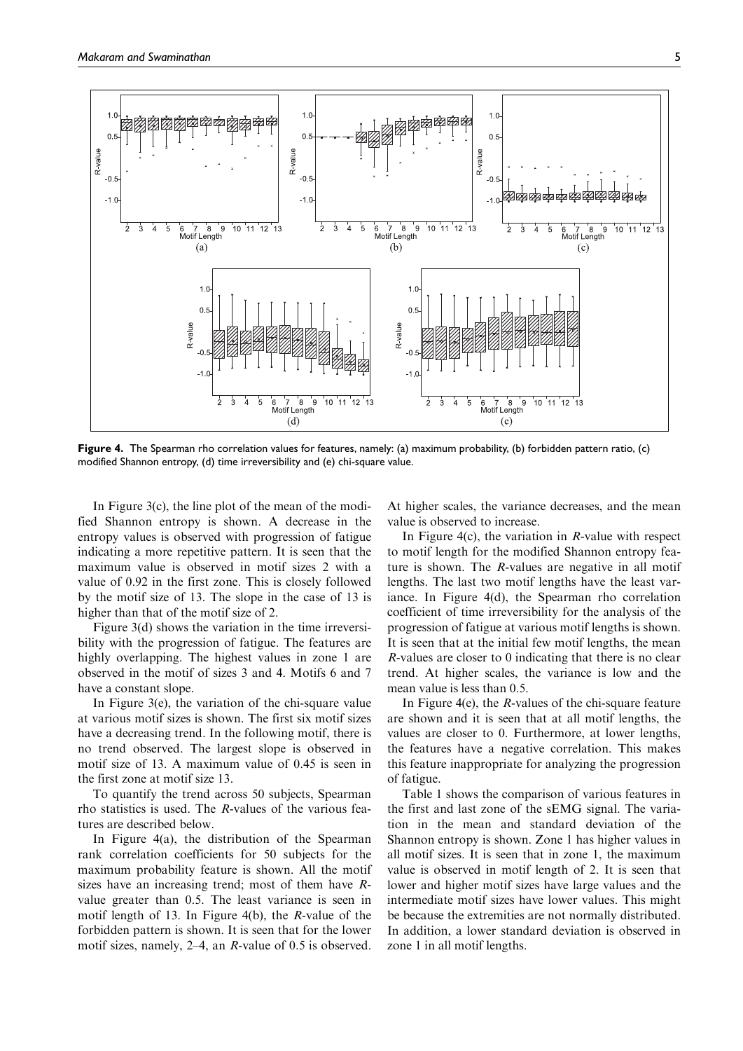

Figure 4. The Spearman rho correlation values for features, namely: (a) maximum probability, (b) forbidden pattern ratio, (c) modified Shannon entropy, (d) time irreversibility and (e) chi-square value.

In Figure 3(c), the line plot of the mean of the modified Shannon entropy is shown. A decrease in the entropy values is observed with progression of fatigue indicating a more repetitive pattern. It is seen that the maximum value is observed in motif sizes 2 with a value of 0.92 in the first zone. This is closely followed by the motif size of 13. The slope in the case of 13 is higher than that of the motif size of 2.

Figure 3(d) shows the variation in the time irreversibility with the progression of fatigue. The features are highly overlapping. The highest values in zone 1 are observed in the motif of sizes 3 and 4. Motifs 6 and 7 have a constant slope.

In Figure 3(e), the variation of the chi-square value at various motif sizes is shown. The first six motif sizes have a decreasing trend. In the following motif, there is no trend observed. The largest slope is observed in motif size of 13. A maximum value of 0.45 is seen in the first zone at motif size 13.

To quantify the trend across 50 subjects, Spearman rho statistics is used. The R-values of the various features are described below.

In Figure 4(a), the distribution of the Spearman rank correlation coefficients for 50 subjects for the maximum probability feature is shown. All the motif sizes have an increasing trend; most of them have Rvalue greater than 0.5. The least variance is seen in motif length of 13. In Figure 4(b), the R-value of the forbidden pattern is shown. It is seen that for the lower motif sizes, namely, 2–4, an R-value of 0.5 is observed. At higher scales, the variance decreases, and the mean value is observed to increase.

In Figure 4(c), the variation in  $R$ -value with respect to motif length for the modified Shannon entropy feature is shown. The R-values are negative in all motif lengths. The last two motif lengths have the least variance. In Figure 4(d), the Spearman rho correlation coefficient of time irreversibility for the analysis of the progression of fatigue at various motif lengths is shown. It is seen that at the initial few motif lengths, the mean R-values are closer to 0 indicating that there is no clear trend. At higher scales, the variance is low and the mean value is less than 0.5.

In Figure 4(e), the R-values of the chi-square feature are shown and it is seen that at all motif lengths, the values are closer to 0. Furthermore, at lower lengths, the features have a negative correlation. This makes this feature inappropriate for analyzing the progression of fatigue.

Table 1 shows the comparison of various features in the first and last zone of the sEMG signal. The variation in the mean and standard deviation of the Shannon entropy is shown. Zone 1 has higher values in all motif sizes. It is seen that in zone 1, the maximum value is observed in motif length of 2. It is seen that lower and higher motif sizes have large values and the intermediate motif sizes have lower values. This might be because the extremities are not normally distributed. In addition, a lower standard deviation is observed in zone 1 in all motif lengths.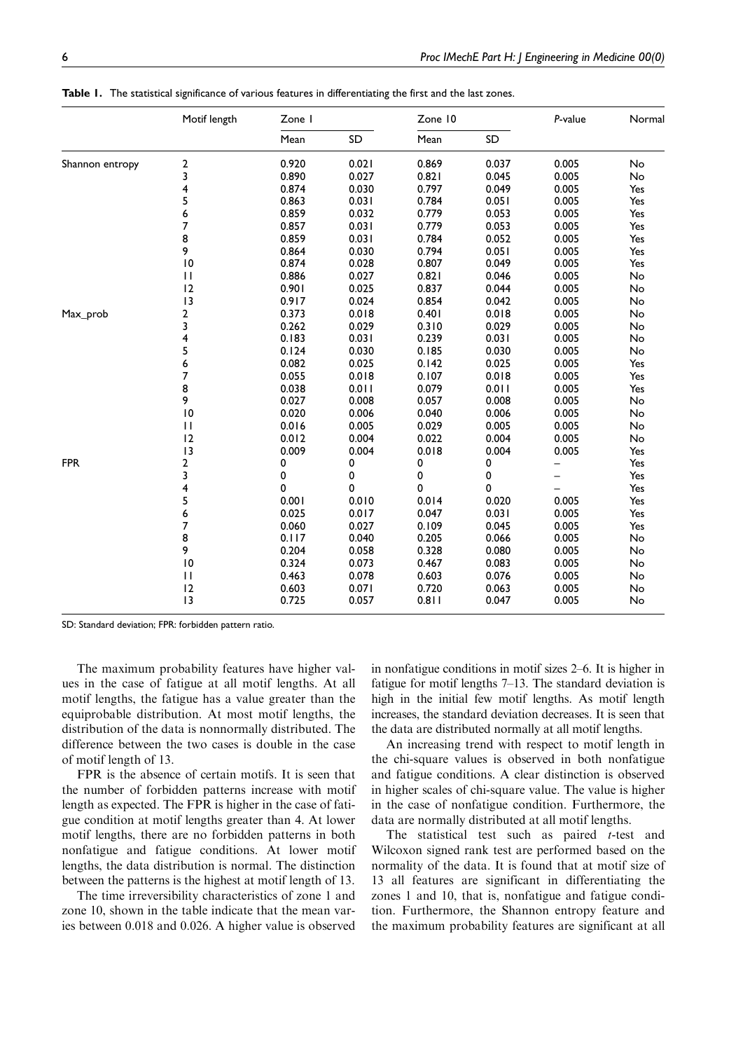|                 | Motif length    | Zone I |       | Zone 10 |       | P-value | Normal |
|-----------------|-----------------|--------|-------|---------|-------|---------|--------|
|                 |                 | Mean   | SD    | Mean    | SD    |         |        |
| Shannon entropy | 2               | 0.920  | 0.021 | 0.869   | 0.037 | 0.005   | No     |
|                 | 3               | 0.890  | 0.027 | 0.821   | 0.045 | 0.005   | No     |
|                 | 4               | 0.874  | 0.030 | 0.797   | 0.049 | 0.005   | Yes    |
|                 | 5               | 0.863  | 0.031 | 0.784   | 0.051 | 0.005   | Yes    |
|                 | 6               | 0.859  | 0.032 | 0.779   | 0.053 | 0.005   | Yes    |
|                 | 7               | 0.857  | 0.031 | 0.779   | 0.053 | 0.005   | Yes    |
|                 | 8               | 0.859  | 0.031 | 0.784   | 0.052 | 0.005   | Yes    |
|                 | 9               | 0.864  | 0.030 | 0.794   | 0.051 | 0.005   | Yes    |
|                 | 10              | 0.874  | 0.028 | 0.807   | 0.049 | 0.005   | Yes    |
|                 | П               | 0.886  | 0.027 | 0.821   | 0.046 | 0.005   | No     |
|                 | 12              | 0.901  | 0.025 | 0.837   | 0.044 | 0.005   | No     |
|                 | 13              | 0.917  | 0.024 | 0.854   | 0.042 | 0.005   | No     |
| Max_prob        | 2               | 0.373  | 0.018 | 0.401   | 0.018 | 0.005   | No     |
|                 | 3               | 0.262  | 0.029 | 0.310   | 0.029 | 0.005   | No     |
|                 | 4               | 0.183  | 0.031 | 0.239   | 0.031 | 0.005   | No     |
|                 | 5               | 0.124  | 0.030 | 0.185   | 0.030 | 0.005   | No     |
|                 | 6               | 0.082  | 0.025 | 0.142   | 0.025 | 0.005   | Yes    |
|                 | 7               | 0.055  | 0.018 | 0.107   | 0.018 | 0.005   | Yes    |
|                 | 8               | 0.038  | 0.011 | 0.079   | 0.011 | 0.005   | Yes    |
|                 | 9               | 0.027  | 0.008 | 0.057   | 0.008 | 0.005   | No     |
|                 | $\overline{10}$ | 0.020  | 0.006 | 0.040   | 0.006 | 0.005   | No     |
|                 | $\mathbf{H}$    | 0.016  | 0.005 | 0.029   | 0.005 | 0.005   | No     |
|                 | 12              | 0.012  | 0.004 | 0.022   | 0.004 | 0.005   | No     |
|                 | 13              | 0.009  | 0.004 | 0.018   | 0.004 | 0.005   | Yes    |
| <b>FPR</b>      | 2               | 0      | 0     | 0       | 0     |         | Yes    |
|                 | 3               | 0      | 0     | 0       | 0     |         | Yes    |
|                 | 4               | 0      | 0     | 0       | 0     |         | Yes    |
|                 | 5               | 0.001  | 0.010 | 0.014   | 0.020 | 0.005   | Yes    |
|                 | 6               | 0.025  | 0.017 | 0.047   | 0.031 | 0.005   | Yes    |
|                 | 7               | 0.060  | 0.027 | 0.109   | 0.045 | 0.005   | Yes    |
|                 | 8               | 0.117  | 0.040 | 0.205   | 0.066 | 0.005   | No     |
|                 | 9               | 0.204  | 0.058 | 0.328   | 0.080 | 0.005   | No     |
|                 | $\overline{10}$ | 0.324  | 0.073 | 0.467   | 0.083 | 0.005   | No     |
|                 | $\mathbf{H}$    | 0.463  | 0.078 | 0.603   | 0.076 | 0.005   | No     |
|                 | 12              | 0.603  | 0.071 | 0.720   | 0.063 | 0.005   | No     |
|                 | 13              | 0.725  | 0.057 | 0.811   | 0.047 | 0.005   | No     |

Table 1. The statistical significance of various features in differentiating the first and the last zones.

SD: Standard deviation; FPR: forbidden pattern ratio.

The maximum probability features have higher values in the case of fatigue at all motif lengths. At all motif lengths, the fatigue has a value greater than the equiprobable distribution. At most motif lengths, the distribution of the data is nonnormally distributed. The difference between the two cases is double in the case of motif length of 13.

FPR is the absence of certain motifs. It is seen that the number of forbidden patterns increase with motif length as expected. The FPR is higher in the case of fatigue condition at motif lengths greater than 4. At lower motif lengths, there are no forbidden patterns in both nonfatigue and fatigue conditions. At lower motif lengths, the data distribution is normal. The distinction between the patterns is the highest at motif length of 13.

The time irreversibility characteristics of zone 1 and zone 10, shown in the table indicate that the mean varies between 0.018 and 0.026. A higher value is observed in nonfatigue conditions in motif sizes 2–6. It is higher in fatigue for motif lengths 7–13. The standard deviation is high in the initial few motif lengths. As motif length increases, the standard deviation decreases. It is seen that the data are distributed normally at all motif lengths.

An increasing trend with respect to motif length in the chi-square values is observed in both nonfatigue and fatigue conditions. A clear distinction is observed in higher scales of chi-square value. The value is higher in the case of nonfatigue condition. Furthermore, the data are normally distributed at all motif lengths.

The statistical test such as paired  $t$ -test and Wilcoxon signed rank test are performed based on the normality of the data. It is found that at motif size of 13 all features are significant in differentiating the zones 1 and 10, that is, nonfatigue and fatigue condition. Furthermore, the Shannon entropy feature and the maximum probability features are significant at all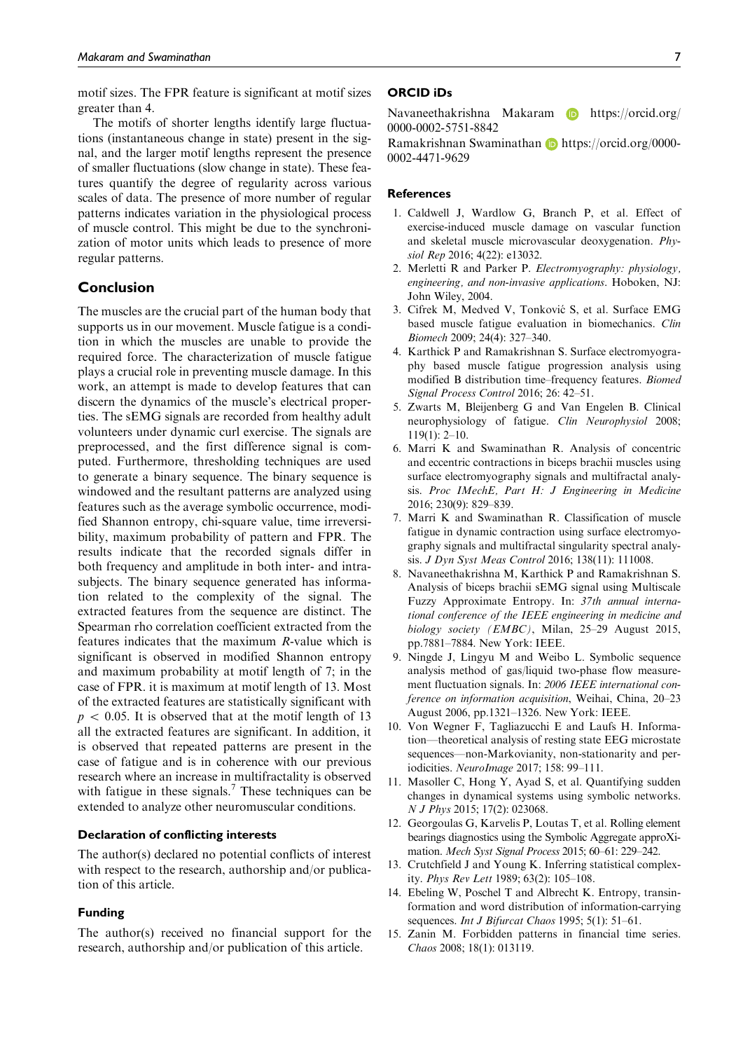motif sizes. The FPR feature is significant at motif sizes greater than 4.

The motifs of shorter lengths identify large fluctuations (instantaneous change in state) present in the signal, and the larger motif lengths represent the presence of smaller fluctuations (slow change in state). These features quantify the degree of regularity across various scales of data. The presence of more number of regular patterns indicates variation in the physiological process of muscle control. This might be due to the synchronization of motor units which leads to presence of more regular patterns.

# Conclusion

The muscles are the crucial part of the human body that supports us in our movement. Muscle fatigue is a condition in which the muscles are unable to provide the required force. The characterization of muscle fatigue plays a crucial role in preventing muscle damage. In this work, an attempt is made to develop features that can discern the dynamics of the muscle's electrical properties. The sEMG signals are recorded from healthy adult volunteers under dynamic curl exercise. The signals are preprocessed, and the first difference signal is computed. Furthermore, thresholding techniques are used to generate a binary sequence. The binary sequence is windowed and the resultant patterns are analyzed using features such as the average symbolic occurrence, modified Shannon entropy, chi-square value, time irreversibility, maximum probability of pattern and FPR. The results indicate that the recorded signals differ in both frequency and amplitude in both inter- and intrasubjects. The binary sequence generated has information related to the complexity of the signal. The extracted features from the sequence are distinct. The Spearman rho correlation coefficient extracted from the features indicates that the maximum R-value which is significant is observed in modified Shannon entropy and maximum probability at motif length of 7; in the case of FPR. it is maximum at motif length of 13. Most of the extracted features are statistically significant with  $p \, < \, 0.05$ . It is observed that at the motif length of 13 all the extracted features are significant. In addition, it is observed that repeated patterns are present in the case of fatigue and is in coherence with our previous research where an increase in multifractality is observed with fatigue in these signals.<sup>7</sup> These techniques can be extended to analyze other neuromuscular conditions.

# Declaration of conflicting interests

The author(s) declared no potential conflicts of interest with respect to the research, authorship and/or publication of this article.

#### Funding

The author(s) received no financial support for the research, authorship and/or publication of this article.

#### ORCID iDs

Navaneethakrishna Makaram **b** https://orcid.org/ 0000-0002-5751-8842

Ramakrishnan Swaminathan **h**ttps://orcid.org/0000-0002-4471-9629

#### **References**

- 1. Caldwell J, Wardlow G, Branch P, et al. Effect of exercise-induced muscle damage on vascular function and skeletal muscle microvascular deoxygenation. Physiol Rep 2016; 4(22): e13032.
- 2. Merletti R and Parker P. Electromyography: physiology, engineering, and non-invasive applications. Hoboken, NJ: John Wiley, 2004.
- 3. Cifrek M, Medved V, Tonković S, et al. Surface EMG based muscle fatigue evaluation in biomechanics. Clin Biomech 2009; 24(4): 327–340.
- 4. Karthick P and Ramakrishnan S. Surface electromyography based muscle fatigue progression analysis using modified B distribution time–frequency features. Biomed Signal Process Control 2016; 26: 42–51.
- 5. Zwarts M, Bleijenberg G and Van Engelen B. Clinical neurophysiology of fatigue. Clin Neurophysiol 2008; 119(1): 2–10.
- 6. Marri K and Swaminathan R. Analysis of concentric and eccentric contractions in biceps brachii muscles using surface electromyography signals and multifractal analysis. Proc IMechE, Part H: J Engineering in Medicine 2016; 230(9): 829–839.
- 7. Marri K and Swaminathan R. Classification of muscle fatigue in dynamic contraction using surface electromyography signals and multifractal singularity spectral analysis. J Dyn Syst Meas Control 2016; 138(11): 111008.
- 8. Navaneethakrishna M, Karthick P and Ramakrishnan S. Analysis of biceps brachii sEMG signal using Multiscale Fuzzy Approximate Entropy. In: 37th annual international conference of the IEEE engineering in medicine and biology society (EMBC), Milan, 25–29 August 2015, pp.7881–7884. New York: IEEE.
- 9. Ningde J, Lingyu M and Weibo L. Symbolic sequence analysis method of gas/liquid two-phase flow measurement fluctuation signals. In: 2006 IEEE international conference on information acquisition, Weihai, China, 20–23 August 2006, pp.1321–1326. New York: IEEE.
- 10. Von Wegner F, Tagliazucchi E and Laufs H. Information—theoretical analysis of resting state EEG microstate sequences—non-Markovianity, non-stationarity and periodicities. NeuroImage 2017; 158: 99–111.
- 11. Masoller C, Hong Y, Ayad S, et al. Quantifying sudden changes in dynamical systems using symbolic networks. N J Phys 2015; 17(2): 023068.
- 12. Georgoulas G, Karvelis P, Loutas T, et al. Rolling element bearings diagnostics using the Symbolic Aggregate approXimation. Mech Syst Signal Process 2015; 60–61: 229–242.
- 13. Crutchfield J and Young K. Inferring statistical complexity. Phys Rev Lett 1989; 63(2): 105–108.
- 14. Ebeling W, Poschel T and Albrecht K. Entropy, transinformation and word distribution of information-carrying sequences. Int J Bifurcat Chaos 1995; 5(1): 51-61.
- 15. Zanin M. Forbidden patterns in financial time series. Chaos 2008; 18(1): 013119.